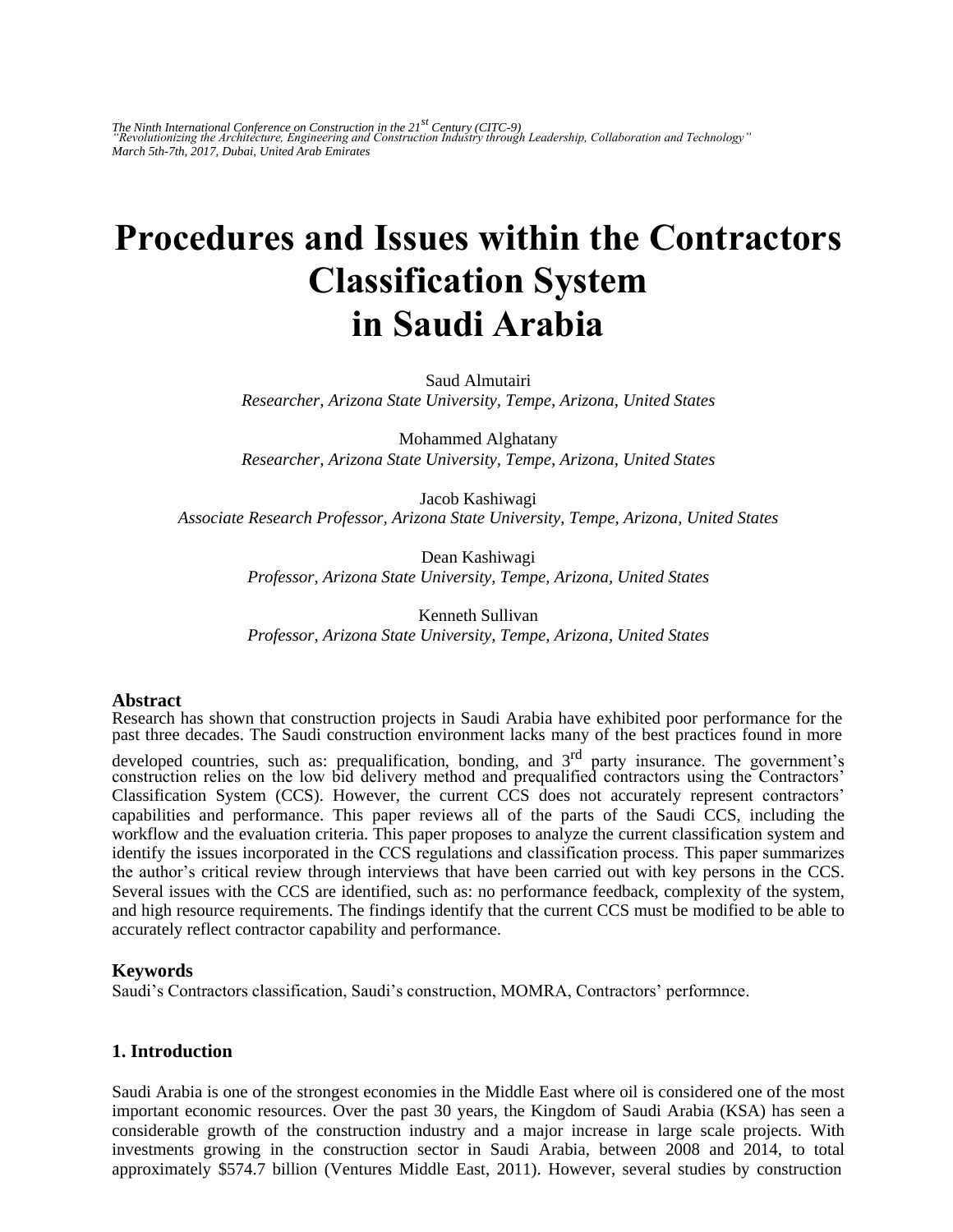The Ninth International Conference on Construction in the 21<sup>st</sup> Century (CITC-9)<br>"Revolutionizing the Architecture, Engineering and Construction Industry through Leadership, Collaboration and Technology" *March 5th-7th, 2017, Dubai, United Arab Emirates* 

# **Procedures and Issues within the Contractors Classification System in Saudi Arabia**

Saud Almutairi *Researcher, Arizona State University, Tempe, Arizona, United States* 

Mohammed Alghatany *Researcher, Arizona State University, Tempe, Arizona, United States* 

Jacob Kashiwagi *Associate Research Professor, Arizona State University, Tempe, Arizona, United States* 

> Dean Kashiwagi *Professor, Arizona State University, Tempe, Arizona, United States*

> Kenneth Sullivan *Professor, Arizona State University, Tempe, Arizona, United States*

#### **Abstract**

Research has shown that construction projects in Saudi Arabia have exhibited poor performance for the past three decades. The Saudi construction environment lacks many of the best practices found in more

developed countries, such as: prequalification, bonding, and 3<sup>rd</sup> party insurance. The government's construction relies on the low bid delivery method and prequalified contractors using the Contractors' Classification System (CCS). However, the current CCS does not accurately represent contractors' capabilities and performance. This paper reviews all of the parts of the Saudi CCS, including the workflow and the evaluation criteria. This paper proposes to analyze the current classification system and identify the issues incorporated in the CCS regulations and classification process. This paper summarizes the author's critical review through interviews that have been carried out with key persons in the CCS. Several issues with the CCS are identified, such as: no performance feedback, complexity of the system, and high resource requirements. The findings identify that the current CCS must be modified to be able to accurately reflect contractor capability and performance.

#### **Keywords**

Saudi's Contractors classification, Saudi's construction, MOMRA, Contractors' performnce.

#### **1. Introduction**

Saudi Arabia is one of the strongest economies in the Middle East where oil is considered one of the most important economic resources. Over the past 30 years, the Kingdom of Saudi Arabia (KSA) has seen a considerable growth of the construction industry and a major increase in large scale projects. With investments growing in the construction sector in Saudi Arabia, between 2008 and 2014, to total approximately \$574.7 billion (Ventures Middle East, 2011). However, several studies by construction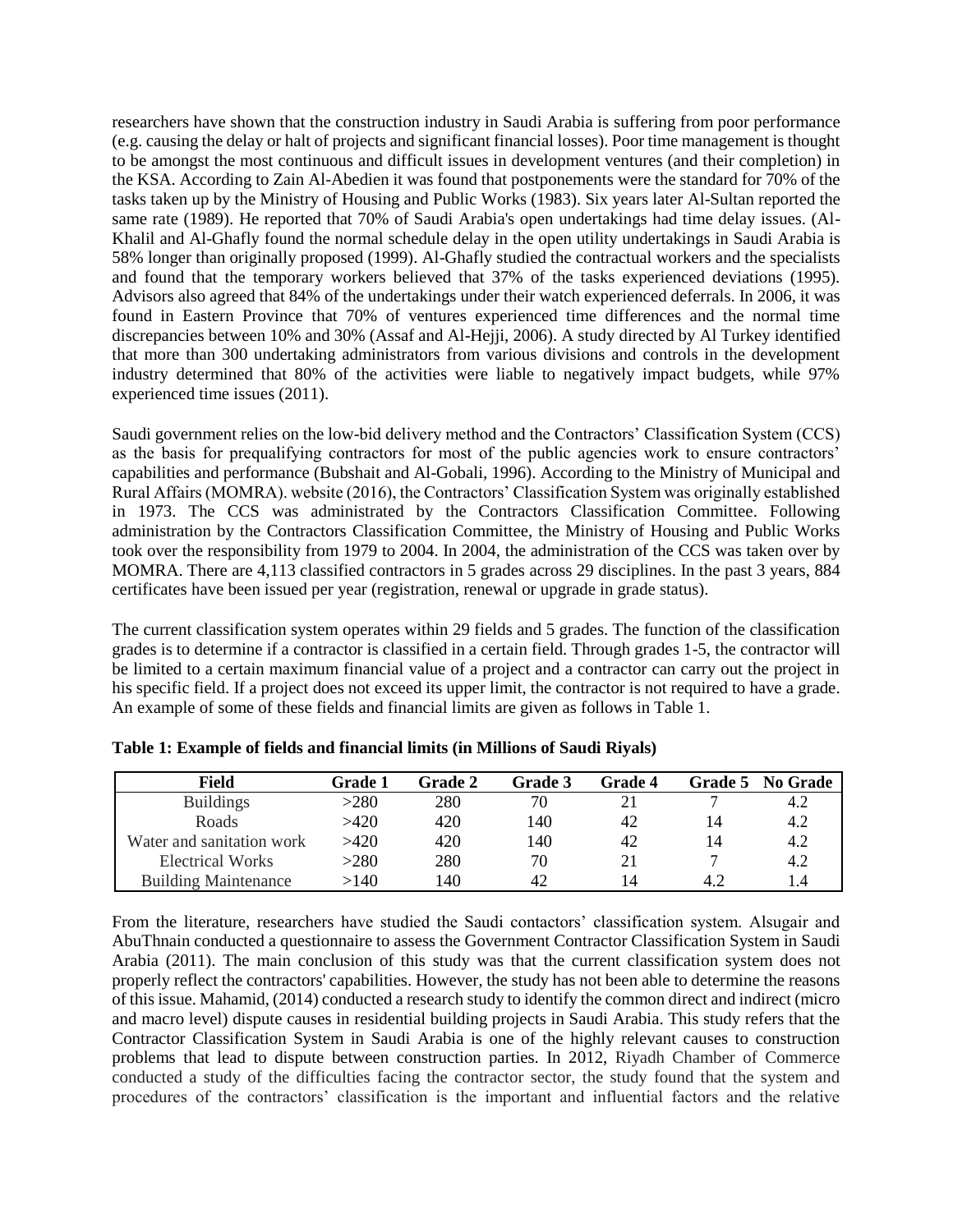researchers have shown that the construction industry in Saudi Arabia is suffering from poor performance (e.g. causing the delay or halt of projects and significant financial losses). Poor time management is thought to be amongst the most continuous and difficult issues in development ventures (and their completion) in the KSA. According to Zain Al-Abedien it was found that postponements were the standard for 70% of the tasks taken up by the Ministry of Housing and Public Works (1983). Six years later Al-Sultan reported the same rate (1989). He reported that 70% of Saudi Arabia's open undertakings had time delay issues. (Al-Khalil and Al-Ghafly found the normal schedule delay in the open utility undertakings in Saudi Arabia is 58% longer than originally proposed (1999). Al-Ghafly studied the contractual workers and the specialists and found that the temporary workers believed that 37% of the tasks experienced deviations (1995). Advisors also agreed that 84% of the undertakings under their watch experienced deferrals. In 2006, it was found in Eastern Province that 70% of ventures experienced time differences and the normal time discrepancies between 10% and 30% (Assaf and Al-Hejji, 2006). A study directed by Al Turkey identified that more than 300 undertaking administrators from various divisions and controls in the development industry determined that 80% of the activities were liable to negatively impact budgets, while 97% experienced time issues (2011).

Saudi government relies on the low-bid delivery method and the Contractors' Classification System (CCS) as the basis for prequalifying contractors for most of the public agencies work to ensure contractors' capabilities and performance (Bubshait and Al-Gobali, 1996). According to the Ministry of Municipal and Rural Affairs (MOMRA). website (2016), the Contractors' Classification System was originally established in 1973. The CCS was administrated by the Contractors Classification Committee. Following administration by the Contractors Classification Committee, the Ministry of Housing and Public Works took over the responsibility from 1979 to 2004. In 2004, the administration of the CCS was taken over by MOMRA. There are 4,113 classified contractors in 5 grades across 29 disciplines. In the past 3 years, 884 certificates have been issued per year (registration, renewal or upgrade in grade status).

The current classification system operates within 29 fields and 5 grades. The function of the classification grades is to determine if a contractor is classified in a certain field. Through grades 1-5, the contractor will be limited to a certain maximum financial value of a project and a contractor can carry out the project in his specific field. If a project does not exceed its upper limit, the contractor is not required to have a grade. An example of some of these fields and financial limits are given as follows in Table 1.

| Field                       | Grade 1 | <b>Grade 2</b> | Grade 3 | <b>Grade 4</b> |     | Grade 5 No Grade |
|-----------------------------|---------|----------------|---------|----------------|-----|------------------|
| <b>Buildings</b>            | >280    | 280            | 70      |                |     | 4.2              |
| Roads                       | >420    | 420            | 140     | 42             | 14  | 4.2              |
| Water and sanitation work   | >420    | 420            | 140     | 42             | 14  | 4.2              |
| Electrical Works            | >280    | 280            | 70      |                |     | 4.2              |
| <b>Building Maintenance</b> | >140    | 140            | 42      | 14             | 4.2 |                  |

**Table 1: Example of fields and financial limits (in Millions of Saudi Riyals)** 

From the literature, researchers have studied the Saudi contactors' classification system. Alsugair and AbuThnain conducted a questionnaire to assess the Government Contractor Classification System in Saudi Arabia (2011). The main conclusion of this study was that the current classification system does not properly reflect the contractors' capabilities. However, the study has not been able to determine the reasons of this issue. Mahamid, (2014) conducted a research study to identify the common direct and indirect (micro and macro level) dispute causes in residential building projects in Saudi Arabia. This study refers that the Contractor Classification System in Saudi Arabia is one of the highly relevant causes to construction problems that lead to dispute between construction parties. In 2012, Riyadh Chamber of Commerce conducted a study of the difficulties facing the contractor sector, the study found that the system and procedures of the contractors' classification is the important and influential factors and the relative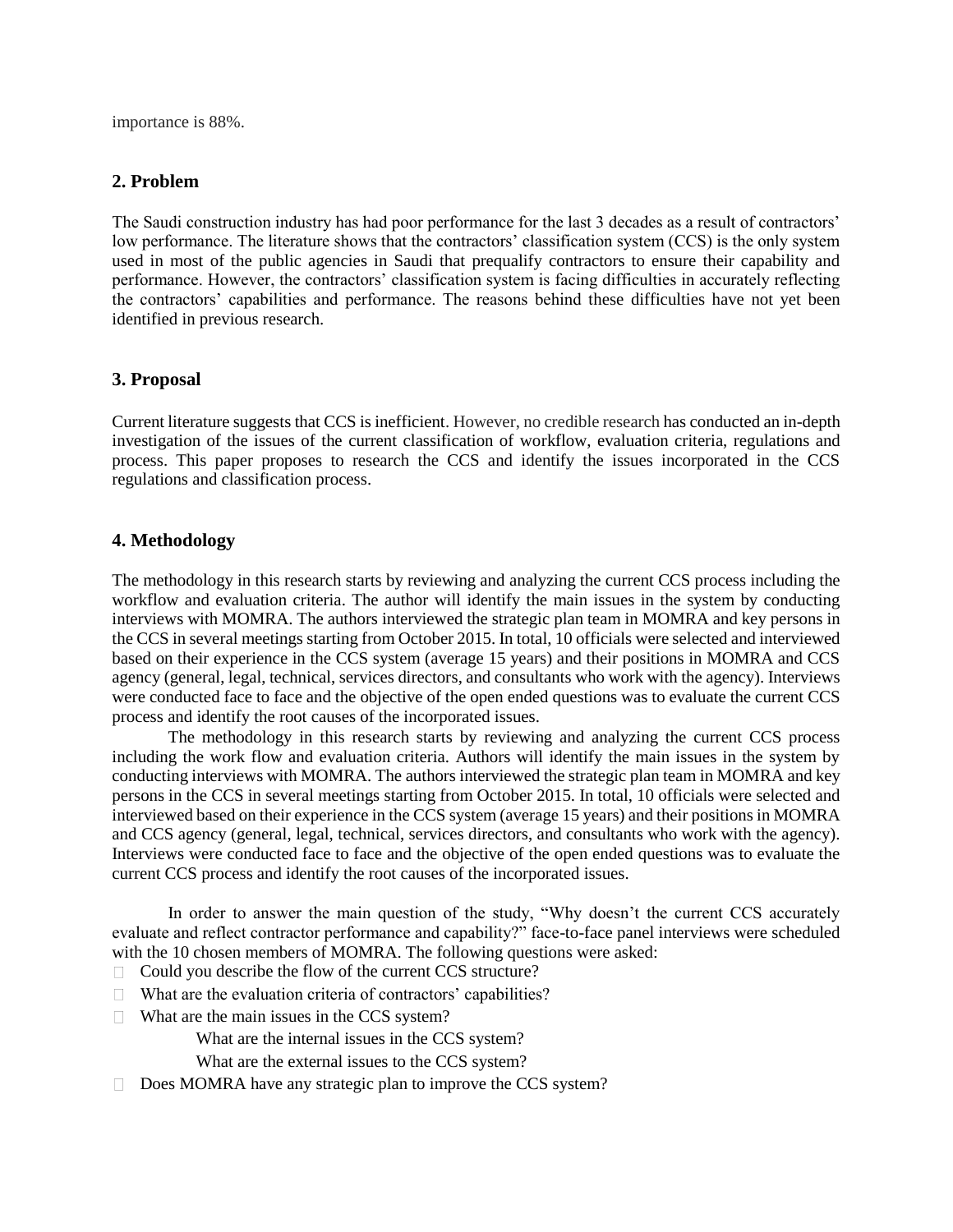importance is 88%.

# **2. Problem**

The Saudi construction industry has had poor performance for the last 3 decades as a result of contractors' low performance. The literature shows that the contractors' classification system (CCS) is the only system used in most of the public agencies in Saudi that prequalify contractors to ensure their capability and performance. However, the contractors' classification system is facing difficulties in accurately reflecting the contractors' capabilities and performance. The reasons behind these difficulties have not yet been identified in previous research.

# **3. Proposal**

Current literature suggests that CCS is inefficient. However, no credible research has conducted an in-depth investigation of the issues of the current classification of workflow, evaluation criteria, regulations and process. This paper proposes to research the CCS and identify the issues incorporated in the CCS regulations and classification process.

# **4. Methodology**

The methodology in this research starts by reviewing and analyzing the current CCS process including the workflow and evaluation criteria. The author will identify the main issues in the system by conducting interviews with MOMRA. The authors interviewed the strategic plan team in MOMRA and key persons in the CCS in several meetings starting from October 2015. In total, 10 officials were selected and interviewed based on their experience in the CCS system (average 15 years) and their positions in MOMRA and CCS agency (general, legal, technical, services directors, and consultants who work with the agency). Interviews were conducted face to face and the objective of the open ended questions was to evaluate the current CCS process and identify the root causes of the incorporated issues.

The methodology in this research starts by reviewing and analyzing the current CCS process including the work flow and evaluation criteria. Authors will identify the main issues in the system by conducting interviews with MOMRA. The authors interviewed the strategic plan team in MOMRA and key persons in the CCS in several meetings starting from October 2015. In total, 10 officials were selected and interviewed based on their experience in the CCS system (average 15 years) and their positions in MOMRA and CCS agency (general, legal, technical, services directors, and consultants who work with the agency). Interviews were conducted face to face and the objective of the open ended questions was to evaluate the current CCS process and identify the root causes of the incorporated issues.

In order to answer the main question of the study, "Why doesn't the current CCS accurately evaluate and reflect contractor performance and capability?" face-to-face panel interviews were scheduled with the 10 chosen members of MOMRA. The following questions were asked:

- □ Could you describe the flow of the current CCS structure?
- $\Box$  What are the evaluation criteria of contractors' capabilities?
- $\Box$  What are the main issues in the CCS system?

What are the internal issues in the CCS system?

- What are the external issues to the CCS system?
- $\Box$  Does MOMRA have any strategic plan to improve the CCS system?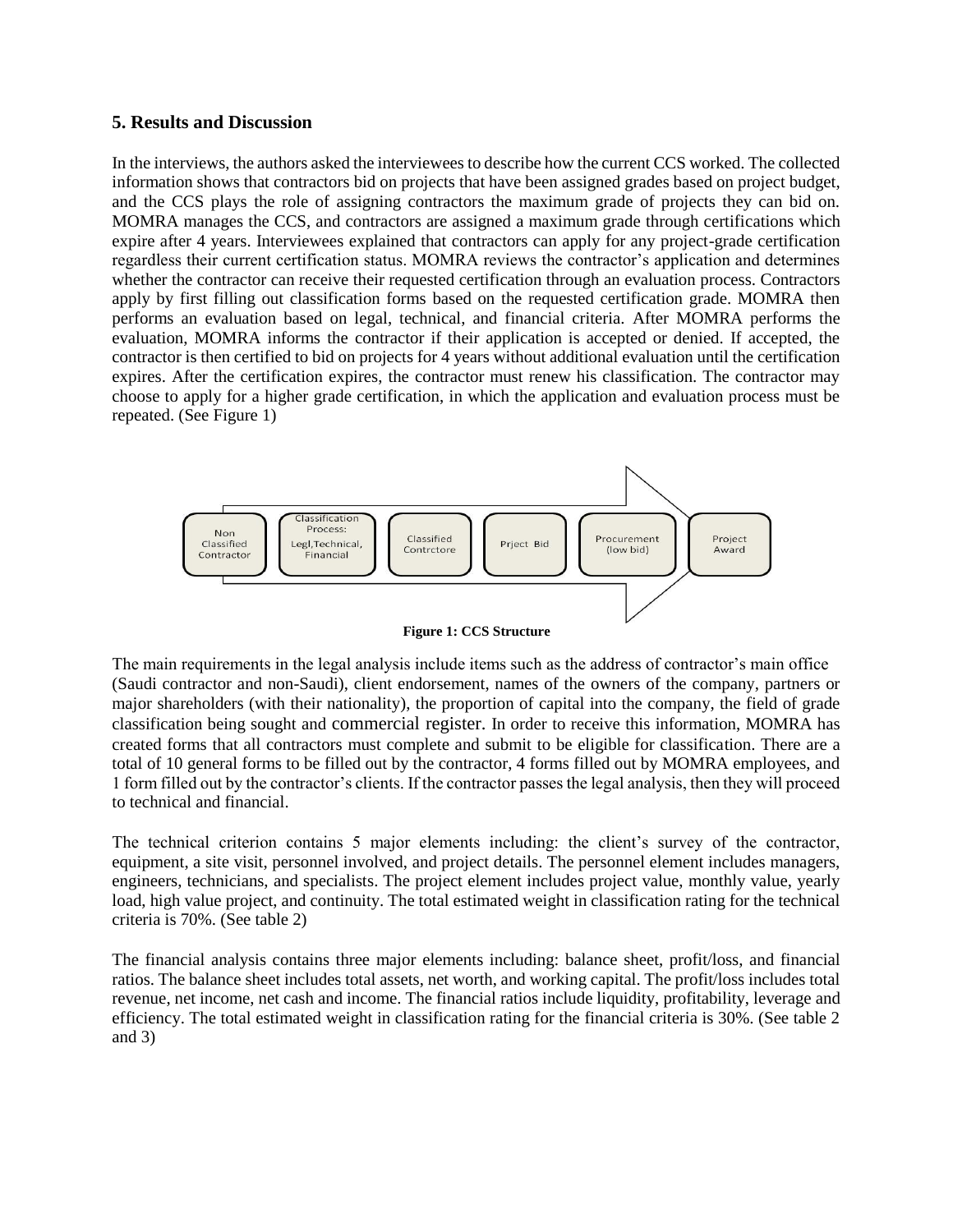### **5. Results and Discussion**

In the interviews, the authors asked the interviewees to describe how the current CCS worked. The collected information shows that contractors bid on projects that have been assigned grades based on project budget, and the CCS plays the role of assigning contractors the maximum grade of projects they can bid on. MOMRA manages the CCS, and contractors are assigned a maximum grade through certifications which expire after 4 years. Interviewees explained that contractors can apply for any project-grade certification regardless their current certification status. MOMRA reviews the contractor's application and determines whether the contractor can receive their requested certification through an evaluation process. Contractors apply by first filling out classification forms based on the requested certification grade. MOMRA then performs an evaluation based on legal, technical, and financial criteria. After MOMRA performs the evaluation, MOMRA informs the contractor if their application is accepted or denied. If accepted, the contractor is then certified to bid on projects for 4 years without additional evaluation until the certification expires. After the certification expires, the contractor must renew his classification. The contractor may choose to apply for a higher grade certification, in which the application and evaluation process must be repeated. (See Figure 1)





The main requirements in the legal analysis include items such as the address of contractor's main office (Saudi contractor and non-Saudi), client endorsement, names of the owners of the company, partners or major shareholders (with their nationality), the proportion of capital into the company, the field of grade classification being sought and commercial register. In order to receive this information, MOMRA has created forms that all contractors must complete and submit to be eligible for classification. There are a total of 10 general forms to be filled out by the contractor, 4 forms filled out by MOMRA employees, and 1 form filled out by the contractor's clients. If the contractor passes the legal analysis, then they will proceed to technical and financial.

The technical criterion contains 5 major elements including: the client's survey of the contractor, equipment, a site visit, personnel involved, and project details. The personnel element includes managers, engineers, technicians, and specialists. The project element includes project value, monthly value, yearly load, high value project, and continuity. The total estimated weight in classification rating for the technical criteria is 70%. (See table 2)

The financial analysis contains three major elements including: balance sheet, profit/loss, and financial ratios. The balance sheet includes total assets, net worth, and working capital. The profit/loss includes total revenue, net income, net cash and income. The financial ratios include liquidity, profitability, leverage and efficiency. The total estimated weight in classification rating for the financial criteria is 30%. (See table 2 and 3)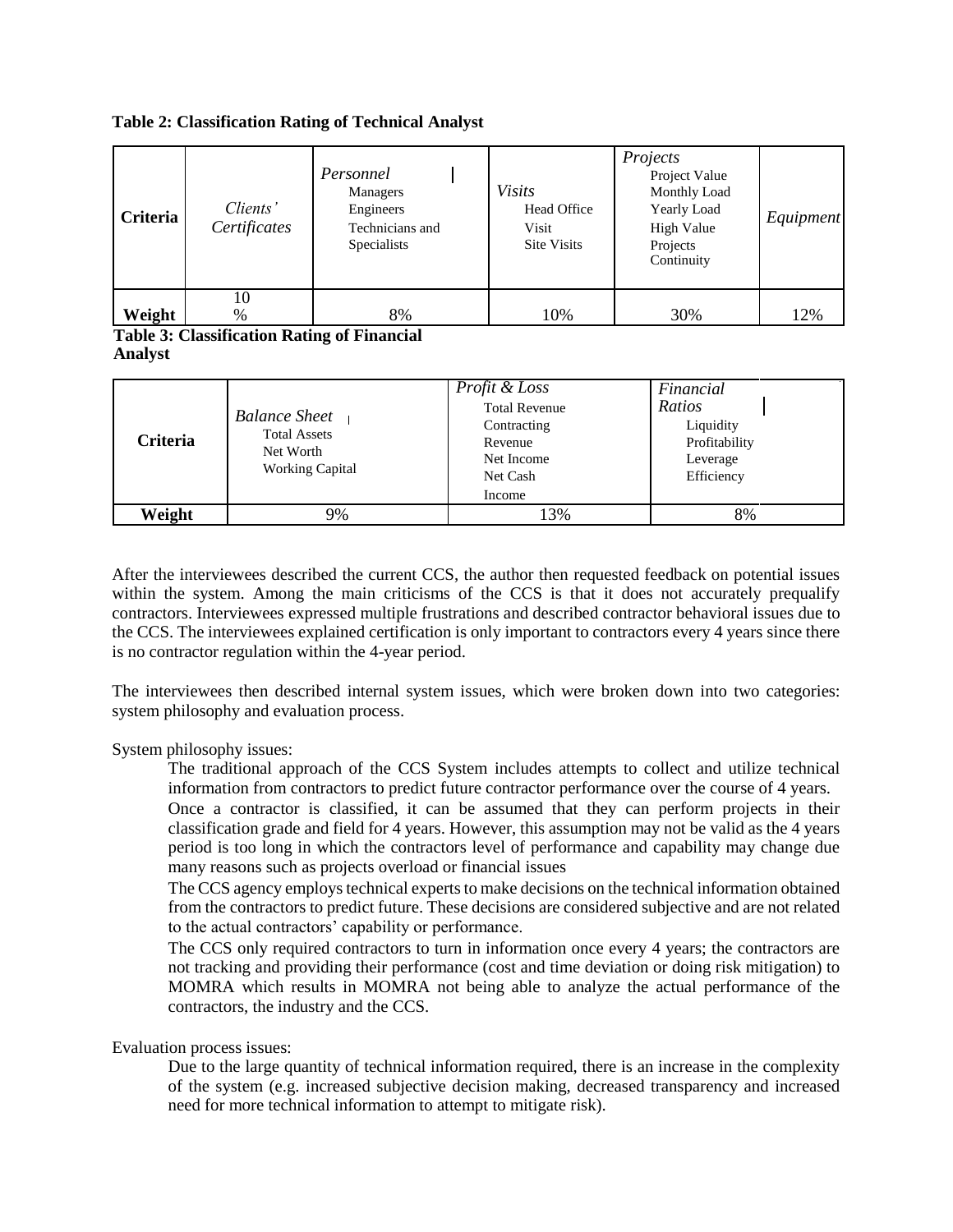|  | <b>Table 2: Classification Rating of Technical Analyst</b> |  |  |  |
|--|------------------------------------------------------------|--|--|--|
|--|------------------------------------------------------------|--|--|--|

| <b>Criteria</b> | Clients'<br>Certificates | Personnel<br>Managers<br>Engineers<br>Technicians and<br><b>Specialists</b> | <b>Visits</b><br>Head Office<br>Visit<br><b>Site Visits</b> | Projects<br>Project Value<br>Monthly Load<br>Yearly Load<br>High Value<br>Projects<br>Continuity | Equipment |
|-----------------|--------------------------|-----------------------------------------------------------------------------|-------------------------------------------------------------|--------------------------------------------------------------------------------------------------|-----------|
| Weight          | 10<br>%                  | 8%                                                                          | 10%                                                         | 30%                                                                                              | 12%       |

#### **Table 3: Classification Rating of Financial Analyst**

| Criteria | <b>Balance Sheet</b><br><b>Total Assets</b><br>Net Worth<br><b>Working Capital</b> | Profit & Loss<br><b>Total Revenue</b><br>Contracting<br>Revenue<br>Net Income<br>Net Cash<br>Income | Financial<br>Ratios<br>Liquidity<br>Profitability<br>Leverage<br>Efficiency |
|----------|------------------------------------------------------------------------------------|-----------------------------------------------------------------------------------------------------|-----------------------------------------------------------------------------|
| Weight   | 9%                                                                                 | 13%                                                                                                 | 8%                                                                          |

After the interviewees described the current CCS, the author then requested feedback on potential issues within the system. Among the main criticisms of the CCS is that it does not accurately prequalify contractors. Interviewees expressed multiple frustrations and described contractor behavioral issues due to the CCS. The interviewees explained certification is only important to contractors every 4 years since there is no contractor regulation within the 4-year period.

The interviewees then described internal system issues, which were broken down into two categories: system philosophy and evaluation process.

System philosophy issues:

The traditional approach of the CCS System includes attempts to collect and utilize technical information from contractors to predict future contractor performance over the course of 4 years.

Once a contractor is classified, it can be assumed that they can perform projects in their classification grade and field for 4 years. However, this assumption may not be valid as the 4 years period is too long in which the contractors level of performance and capability may change due many reasons such as projects overload or financial issues

The CCS agency employs technical experts to make decisions on the technical information obtained from the contractors to predict future. These decisions are considered subjective and are not related to the actual contractors' capability or performance.

The CCS only required contractors to turn in information once every 4 years; the contractors are not tracking and providing their performance (cost and time deviation or doing risk mitigation) to MOMRA which results in MOMRA not being able to analyze the actual performance of the contractors, the industry and the CCS.

Evaluation process issues:

Due to the large quantity of technical information required, there is an increase in the complexity of the system (e.g. increased subjective decision making, decreased transparency and increased need for more technical information to attempt to mitigate risk).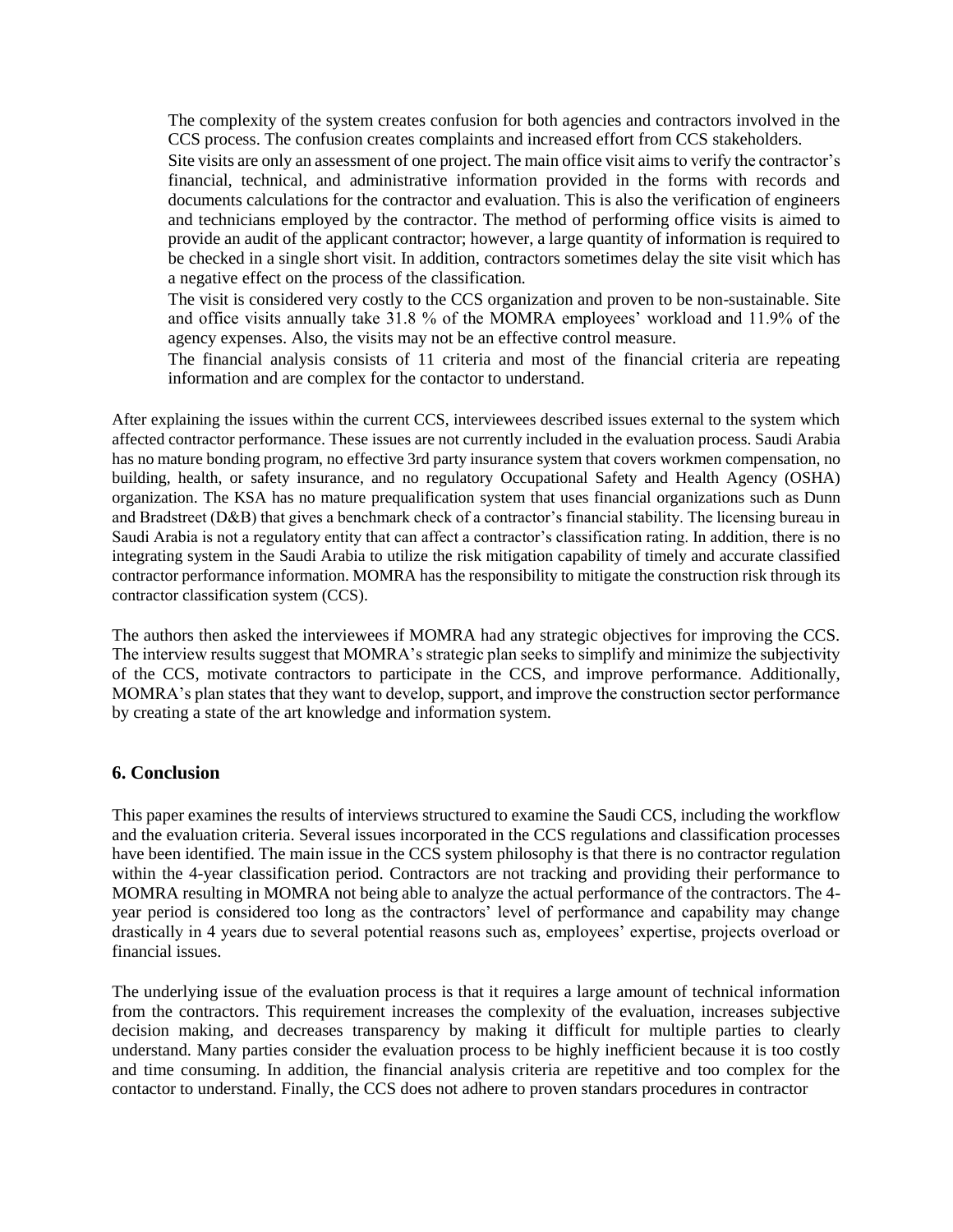The complexity of the system creates confusion for both agencies and contractors involved in the CCS process. The confusion creates complaints and increased effort from CCS stakeholders.

Site visits are only an assessment of one project. The main office visit aims to verify the contractor's financial, technical, and administrative information provided in the forms with records and documents calculations for the contractor and evaluation. This is also the verification of engineers and technicians employed by the contractor. The method of performing office visits is aimed to provide an audit of the applicant contractor; however, a large quantity of information is required to be checked in a single short visit. In addition, contractors sometimes delay the site visit which has a negative effect on the process of the classification.

The visit is considered very costly to the CCS organization and proven to be non-sustainable. Site and office visits annually take 31.8 % of the MOMRA employees' workload and 11.9% of the agency expenses. Also, the visits may not be an effective control measure.

The financial analysis consists of 11 criteria and most of the financial criteria are repeating information and are complex for the contactor to understand.

After explaining the issues within the current CCS, interviewees described issues external to the system which affected contractor performance. These issues are not currently included in the evaluation process. Saudi Arabia has no mature bonding program, no effective 3rd party insurance system that covers workmen compensation, no building, health, or safety insurance, and no regulatory Occupational Safety and Health Agency (OSHA) organization. The KSA has no mature prequalification system that uses financial organizations such as Dunn and Bradstreet (D&B) that gives a benchmark check of a contractor's financial stability. The licensing bureau in Saudi Arabia is not a regulatory entity that can affect a contractor's classification rating. In addition, there is no integrating system in the Saudi Arabia to utilize the risk mitigation capability of timely and accurate classified contractor performance information. MOMRA has the responsibility to mitigate the construction risk through its contractor classification system (CCS).

The authors then asked the interviewees if MOMRA had any strategic objectives for improving the CCS. The interview results suggest that MOMRA's strategic plan seeks to simplify and minimize the subjectivity of the CCS, motivate contractors to participate in the CCS, and improve performance. Additionally, MOMRA's plan states that they want to develop, support, and improve the construction sector performance by creating a state of the art knowledge and information system.

## **6. Conclusion**

This paper examines the results of interviews structured to examine the Saudi CCS, including the workflow and the evaluation criteria. Several issues incorporated in the CCS regulations and classification processes have been identified. The main issue in the CCS system philosophy is that there is no contractor regulation within the 4-year classification period. Contractors are not tracking and providing their performance to MOMRA resulting in MOMRA not being able to analyze the actual performance of the contractors. The 4 year period is considered too long as the contractors' level of performance and capability may change drastically in 4 years due to several potential reasons such as, employees' expertise, projects overload or financial issues.

The underlying issue of the evaluation process is that it requires a large amount of technical information from the contractors. This requirement increases the complexity of the evaluation, increases subjective decision making, and decreases transparency by making it difficult for multiple parties to clearly understand. Many parties consider the evaluation process to be highly inefficient because it is too costly and time consuming. In addition, the financial analysis criteria are repetitive and too complex for the contactor to understand. Finally, the CCS does not adhere to proven standars procedures in contractor